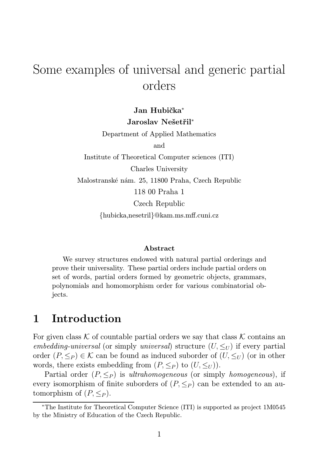# Some examples of universal and generic partial orders

### Jan Hubička<sup>∗</sup> Jaroslav Nešetřil<sup>∗</sup>

Department of Applied Mathematics and

Institute of Theoretical Computer sciences (ITI) Charles University Malostranské nám. 25, 11800 Praha, Czech Republic 118 00 Praha 1 Czech Republic {hubicka,nesetril}@kam.ms.mff.cuni.cz

#### Abstract

We survey structures endowed with natural partial orderings and prove their universality. These partial orders include partial orders on set of words, partial orders formed by geometric objects, grammars, polynomials and homomorphism order for various combinatorial objects.

## 1 Introduction

For given class K of countable partial orders we say that class K contains an *embedding-universal* (or simply *universal*) structure  $(U, \leq_U)$  if every partial order  $(P, \leq_P) \in \mathcal{K}$  can be found as induced suborder of  $(U, \leq_U)$  (or in other words, there exists embedding from  $(P, \leq_P)$  to  $(U, \leq_U)$ ).

Partial order  $(P, \leq_P)$  is *ultrahomogeneous* (or simply *homogeneous*), if every isomorphism of finite suborders of  $(P, \leq_P)$  can be extended to an automorphism of  $(P, \leq_P)$ .

<sup>∗</sup>The Institute for Theoretical Computer Science (ITI) is supported as project 1M0545 by the Ministry of Education of the Czech Republic.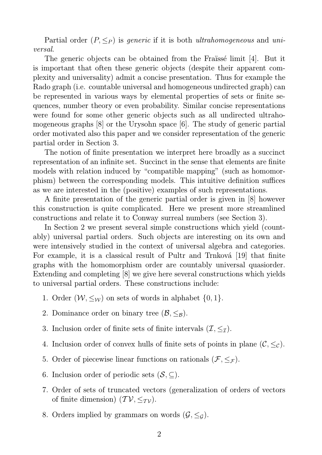Partial order  $(P, \leq_P)$  is *generic* if it is both *ultrahomogeneous* and *universal*.

The generic objects can be obtained from the Fraïssé limit [4]. But it is important that often these generic objects (despite their apparent complexity and universality) admit a concise presentation. Thus for example the Rado graph (i.e. countable universal and homogeneous undirected graph) can be represented in various ways by elemental properties of sets or finite sequences, number theory or even probability. Similar concise representations were found for some other generic objects such as all undirected ultrahomogeneous graphs [8] or the Urysohn space [6]. The study of generic partial order motivated also this paper and we consider representation of the generic partial order in Section 3.

The notion of finite presentation we interpret here broadly as a succinct representation of an infinite set. Succinct in the sense that elements are finite models with relation induced by "compatible mapping" (such as homomorphism) between the corresponding models. This intuitive definition suffices as we are interested in the (positive) examples of such representations.

A finite presentation of the generic partial order is given in [8] however this construction is quite complicated. Here we present more streamlined constructions and relate it to Conway surreal numbers (see Section 3).

In Section 2 we present several simple constructions which yield (countably) universal partial orders. Such objects are interesting on its own and were intensively studied in the context of universal algebra and categories. For example, it is a classical result of Pultr and Trnková [19] that finite graphs with the homomorphism order are countably universal quasiorder. Extending and completing [8] we give here several constructions which yields to universal partial orders. These constructions include:

- 1. Order  $(W, \leq_W)$  on sets of words in alphabet  $\{0, 1\}$ .
- 2. Dominance order on binary tree  $(\mathcal{B}, \leq_{\mathcal{B}})$ .
- 3. Inclusion order of finite sets of finite intervals  $(\mathcal{I}, \leq_{\mathcal{I}})$ .
- 4. Inclusion order of convex hulls of finite sets of points in plane  $(C, \leq_{\mathcal{C}})$ .
- 5. Order of piecewise linear functions on rationals  $(\mathcal{F}, \leq_{\mathcal{F}})$ .
- 6. Inclusion order of periodic sets  $(S, \subseteq)$ .
- 7. Order of sets of truncated vectors (generalization of orders of vectors of finite dimension)  $(\mathcal{TV}, \leq_{\mathcal{TV}})$ .
- 8. Orders implied by grammars on words  $(G, \leq_g)$ .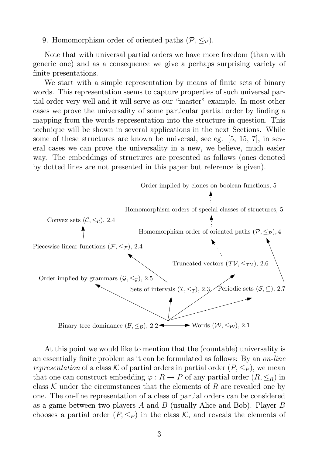9. Homomorphism order of oriented paths  $(\mathcal{P}, \leq_{\mathcal{P}})$ .

Note that with universal partial orders we have more freedom (than with generic one) and as a consequence we give a perhaps surprising variety of finite presentations.

We start with a simple representation by means of finite sets of binary words. This representation seems to capture properties of such universal partial order very well and it will serve as our "master" example. In most other cases we prove the universality of some particular partial order by finding a mapping from the words representation into the structure in question. This technique will be shown in several applications in the next Sections. While some of these structures are known be universal, see eg. [5, 15, 7], in several cases we can prove the universality in a new, we believe, much easier way. The embeddings of structures are presented as follows (ones denoted by dotted lines are not presented in this paper but reference is given).



At this point we would like to mention that the (countable) universality is an essentially finite problem as it can be formulated as follows: By an *on-line representation* of a class K of partial orders in partial order  $(P, \leq_P)$ , we mean that one can construct embedding  $\varphi : R \to P$  of any partial order  $(R, \leq_R)$  in class K under the circumstances that the elements of R are revealed one by one. The on-line representation of a class of partial orders can be considered as a game between two players A and B (usually Alice and Bob). Player B chooses a partial order  $(P, \leq_P)$  in the class K, and reveals the elements of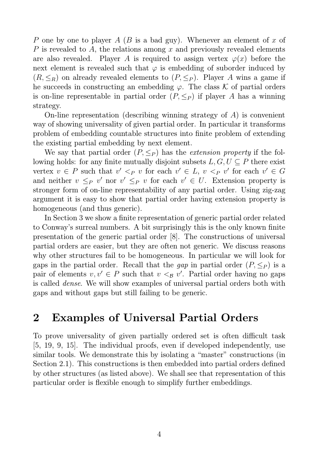P one by one to player A (B is a bad guy). Whenever an element of x of P is revealed to A, the relations among  $x$  and previously revealed elements are also revealed. Player A is required to assign vertex  $\varphi(x)$  before the next element is revealed such that  $\varphi$  is embedding of suborder induced by  $(R, \leq_R)$  on already revealed elements to  $(P, \leq_P)$ . Player A wins a game if he succeeds in constructing an embedding  $\varphi$ . The class K of partial orders is on-line representable in partial order  $(P, \leq_P)$  if player A has a winning strategy.

On-line representation (describing winning strategy of  $A$ ) is convenient way of showing universality of given partial order. In particular it transforms problem of embedding countable structures into finite problem of extending the existing partial embedding by next element.

We say that partial order  $(P, \leq_P)$  has the *extension property* if the following holds: for any finite mutually disjoint subsets  $L, G, U \subseteq P$  there exist vertex  $v \in P$  such that  $v' <_P v$  for each  $v' \in L$ ,  $v <_P v'$  for each  $v' \in G$ and neither  $v \leq_P v'$  nor  $v' \leq_P v$  for each  $v' \in U$ . Extension property is stronger form of on-line representability of any partial order. Using zig-zag argument it is easy to show that partial order having extension property is homogeneous (and thus generic).

In Section 3 we show a finite representation of generic partial order related to Conway's surreal numbers. A bit surprisingly this is the only known finite presentation of the generic partial order [8]. The constructions of universal partial orders are easier, but they are often not generic. We discuss reasons why other structures fail to be homogeneous. In particular we will look for gaps in the partial order. Recall that the *gap* in partial order  $(P, \leq_P)$  is a pair of elements  $v, v' \in P$  such that  $v <_{\mathcal{B}} v'$ . Partial order having no gaps is called *dense*. We will show examples of universal partial orders both with gaps and without gaps but still failing to be generic.

### 2 Examples of Universal Partial Orders

To prove universality of given partially ordered set is often difficult task [5, 19, 9, 15]. The individual proofs, even if developed independently, use similar tools. We demonstrate this by isolating a "master" constructions (in Section 2.1). This constructions is then embedded into partial orders defined by other structures (as listed above). We shall see that representation of this particular order is flexible enough to simplify further embeddings.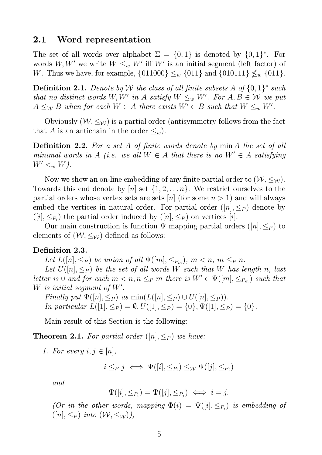#### 2.1 Word representation

The set of all words over alphabet  $\Sigma = \{0,1\}$  is denoted by  $\{0,1\}^*$ . For words W, W' we write  $W \leq_w W'$  iff W' is an initial segment (left factor) of W. Thus we have, for example,  $\{011000\} \leq w \{011\}$  and  $\{010111\} \nleq w \{011\}$ .

Definition 2.1. *Denote by* W *the class of all finite subsets* A *of* {0, 1} ∗ *such that no distinct words*  $W, W'$  in  $A$  *satisfy*  $W \leq_w W'$ . For  $A, B \in W$  we put  $A \leq_W B$  when for each  $W \in A$  there exists  $W' \in B$  such that  $W \leq_w W'$ .

Obviously  $(W, \leq_W)$  is a partial order (antisymmetry follows from the fact that A is an antichain in the order  $\leq_w$ ).

Definition 2.2. *For a set* A *of finite words denote by* min A *the set of all minimal words in* A *(i.e. we all*  $W \in A$  *that there is no*  $W' \in A$  *satisfying*  $W' <_{w} W$ ).

Now we show an on-line embedding of any finite partial order to  $(W, \leq_W)$ . Towards this end denote by  $[n]$  set  $\{1, 2, \ldots n\}$ . We restrict ourselves to the partial orders whose vertex sets are sets [n] (for some  $n > 1$ ) and will always embed the vertices in natural order. For partial order  $([n], \leq_P)$  denote by  $([i], \leq_{P_i})$  the partial order induced by  $([n], \leq_P)$  on vertices [i].

Our main construction is function  $\Psi$  mapping partial orders  $([n], \leq_P)$  to elements of  $(W, \leq_W)$  defined as follows:

#### Definition 2.3.

Let  $L([n], \leq_P)$  be union of all  $\Psi([m], \leq_{P_m})$ ,  $m < n, m \leq_P n$ .

Let  $U([n], \leq_P)$  be the set of all words W such that W has length n, last *letter is* 0 *and for each*  $m < n, n \leq_P m$  *there is*  $W' \in \Psi([m], \leq_{P_m})$  *such that* W *is initial segment of* W′ *.*

*Finally put*  $\Psi([n], \leq_P)$  *as*  $\min(L([n], \leq_P) \cup U([n], \leq_P))$ *. In particular*  $L([1], \leq_P) = \emptyset$ ,  $U([1], \leq_P) = \{0\}$ ,  $\Psi([1], \leq_P) = \{0\}$ .

Main result of this Section is the following:

**Theorem 2.1.** For partial order  $([n], \leq_P)$  we have:

1. For every 
$$
i, j \in [n]
$$
,

$$
i \leq_P j \iff \Psi([i], \leq_{P_i}) \leq_W \Psi([j], \leq_{P_j})
$$

*and*

$$
\Psi([i], \leq_{P_i}) = \Psi([j], \leq_{P_j}) \iff i = j.
$$

*(Or in the other words, mapping*  $\Phi(i) = \Psi([i], \leq_{P_i})$  *is embedding of*  $([n], \leq_P)$  *into*  $(W, \leq_W)$ *)*;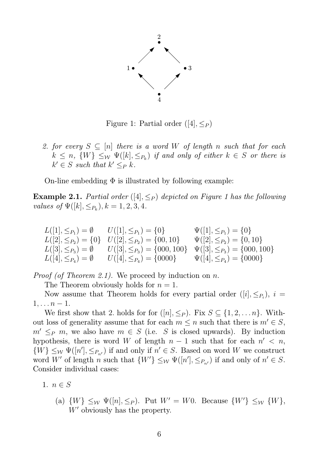

Figure 1: Partial order  $([4], \leq_P)$ 

2. for every  $S \subseteq [n]$  there is a word W of length n such that for each  $k \leq n$ ,  $\{W\} \leq_{\mathcal{W}} \Psi([k], \leq_{P_k})$  *if and only of either*  $k \in S$  *or there is*  $k' \in S$  such that  $k' \leq_P k$ .

On-line embedding  $\Phi$  is illustrated by following example:

**Example 2.1.** *Partial order* ([4],  $\leq_P$ ) *depicted on Figure 1 has the following values of*  $\Psi([k], \leq_{P_k}), k = 1, 2, 3, 4.$ 

 $L([1], \leq_{P_1}) = \emptyset$   $U([1], \leq_{P_1}) = \{0\}$   $\Psi([1], \leq_{P_1}) = \{0\}$  $L([2], \leq_{P_2}) = \{0\}$   $U([2], \leq_{P_2}) = \{00, 10\}$   $\Psi([2], \leq_{P_2}) = \{0, 10\}$  $L([3], \leq_{P_3}) = \emptyset$   $U([3], \leq_{P_3}) = \{000, 100\}$   $\Psi([3], \leq_{P_3}) = \{000, 100\}$  $L([4], \leq_{P_4}) = \emptyset$   $U([4], \leq_{P_4}) = \{0000\}$   $\Psi([4], \leq_{P_4}) = \{0000\}$ 

*Proof (of Theorem 2.1).* We proceed by induction on n.

The Theorem obviously holds for  $n = 1$ .

Now assume that Theorem holds for every partial order  $([i], \leq_{P_i})$ ,  $i =$  $1, \ldots n-1.$ 

We first show that 2. holds for for  $([n], \leq_P)$ . Fix  $S \subseteq \{1, 2, ..., n\}$ . Without loss of generality assume that for each  $m \leq n$  such that there is  $m' \in S$ ,  $m' \leq_P m$ , we also have  $m \in S$  (i.e. S is closed upwards). By induction hypothesis, there is word W of length  $n-1$  such that for each  $n' < n$ ,  $\{W\} \leq_{\mathcal{W}} \Psi([n'], \leq_{P_{n'}})$  if and only if  $n' \in S$ . Based on word W we construct word W' of length *n* such that  $\{W'\}\leq_{\mathcal{W}} \Psi([n'], \leq_{P_{n'}})$  if and only of  $n' \in S$ . Consider individual cases:

1.  $n \in S$ 

(a)  $\{W\} \leq_W \Psi([n], \leq_P)$ . Put  $W' = W0$ . Because  $\{W'\} \leq_W \{W\}$ , W' obviously has the property.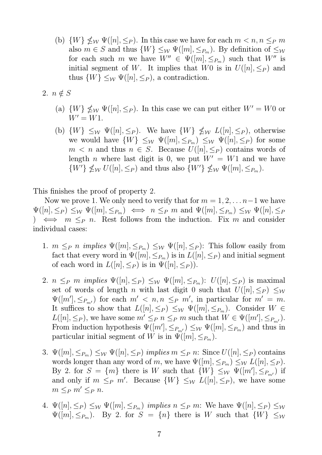- (b)  $\{W\} \nleq_{\mathcal{W}} \Psi([n], \leq_P)$ . In this case we have for each  $m < n, n \leq_P m$ also  $m \in S$  and thus  $\{W\} \leq_{\mathcal{W}} \Psi([m], \leq_{P_m})$ . By definition of  $\leq_{\mathcal{W}}$ for each such m we have  $W'' \in \Psi([m], \leq_{P_m})$  such that  $W''$  is initial segment of W. It implies that W0 is in  $U([n], \leq_P)$  and thus  $\{W\} \leq_{\mathcal{W}} \Psi([n], \leq_P)$ , a contradiction.
- 2.  $n \notin S$ 
	- (a)  $\{W\} \nleq_W \Psi([n], \leq_P)$ . In this case we can put either  $W' = W_0$  or  $W' = W1$ .
	- (b)  $\{W\} \leq_W \Psi([n], \leq_P)$ . We have  $\{W\} \nleq_W L([n], \leq_P)$ , otherwise we would have  $\{W\} \leq_{\mathcal{W}} \Psi([m], \leq_{P_m}) \leq_{\mathcal{W}} \Psi([n], \leq_P)$  for some  $m < n$  and thus  $n \in S$ . Because  $U([n], \leq_P)$  contains words of length *n* where last digit is 0, we put  $W' = W1$  and we have  $\{W'\}\nleq_{\mathcal{W}} U([n], \leq_P)$  and thus also  $\{W'\}\nleq_{\mathcal{W}} \Psi([m], \leq_{P_m})$ .

This finishes the proof of property 2.

Now we prove 1. We only need to verify that for  $m = 1, 2, \ldots n-1$  we have  $\Psi([n], \leq_P) \leq_{\mathcal{W}} \Psi([m], \leq_{P_m}) \iff n \leq_P m$  and  $\Psi([m], \leq_{P_m}) \leq_{\mathcal{W}} \Psi([n], \leq_P)$ )  $\iff$  m  $\leq_P$  n. Rest follows from the induction. Fix m and consider individual cases:

- 1.  $m \leq_P n$  *implies*  $\Psi([m], \leq_{P_m}) \leq_W \Psi([n], \leq_P)$ : This follow easily from fact that every word in  $\Psi([m], \leq_{P_m})$  is in  $L([n], \leq_P)$  and initial segment of each word in  $L([n], \leq_P)$  is in  $\Psi([n], \leq_P)$ ).
- 2.  $n \leq_P m$  *implies*  $\Psi([n], \leq_P) \leq_W \Psi([m], \leq_{P_m})$ :  $U([n], \leq_P)$  is maximal set of words of length n with last digit 0 such that  $U([n], \leq_P) \leq_W$  $\Psi([m'], \leq_{P_{m'}})$  for each  $m' < n, n \leq_P m'$ , in particular for  $m' = m$ . It suffices to show that  $L([n], \leq_P) \leq_W \Psi([m], \leq_{P_m})$ . Consider  $W \in$  $L([n], \leq_P)$ , we have some  $m' \leq_P n \leq_P m$  such that  $W \in \Psi([m'], \leq_{P_{m'}})$ . From induction hypothesis  $\Psi([m'], \leq_{P_{m'}}) \leq_{\mathcal{W}} \Psi([m], \leq_{P_m})$  and thus in particular initial segment of W is in  $\Psi([m], \leq_{P_m})$ .
- 3.  $\Psi([m], \leq_{P_m}) \leq_{\mathcal{W}} \Psi([n], \leq_P)$  *implies*  $m \leq_P n$ : Since  $U([n], \leq_P)$  contains words longer than any word of m, we have  $\Psi([m], \leq_{P_m}) \leq_{\mathcal{W}} L([n], \leq_P)$ . By 2. for  $S = \{m\}$  there is W such that  $\{W\} \leq_{\mathcal{W}} \Psi([m'], \leq_{P_{m'}})$  if and only if  $m \leq_P m'$ . Because  $\{W\} \leq_W L([n], \leq_P)$ , we have some  $m \leq_P m' \leq_P n$ .
- 4.  $\Psi([n], \leq_P) \leq_W \Psi([m], \leq_{P_m})$  *implies*  $n \leq_P m$ : We have  $\Psi([n], \leq_P) \leq_W$  $\Psi([m], \leq_{P_m})$ . By 2. for  $S = \{n\}$  there is W such that  $\{W\} \leq_W$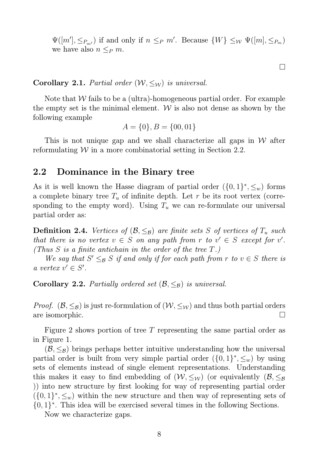$\Psi([m'], \leq_{P_{m'}})$  if and only if  $n \leq_P m'$ . Because  $\{W\} \leq_{\mathcal{W}} \Psi([m], \leq_{P_m})$ we have also  $n \leq_P m$ .

Corollary 2.1. *Partial order*  $(W, \leq_W)$  *is universal.* 

Note that  $W$  fails to be a (ultra)-homogeneous partial order. For example the empty set is the minimal element.  $W$  is also not dense as shown by the following example

$$
A = \{0\}, B = \{00, 01\}
$$

This is not unique gap and we shall characterize all gaps in  $W$  after reformulating  $W$  in a more combinatorial setting in Section 2.2.

#### 2.2 Dominance in the Binary tree

As it is well known the Hasse diagram of partial order  $({0, 1}, \leq_w)$  forms a complete binary tree  $T_u$  of infinite depth. Let r be its root vertex (corresponding to the empty word). Using  $T_u$  we can re-formulate our universal partial order as:

**Definition 2.4.** *Vertices of*  $(\mathcal{B}, \leq_{\mathcal{B}})$  *are finite sets* S *of vertices of*  $T_u$  *such that there is no vertex*  $v \in S$  *on any path from*  $r$  *to*  $v' \in S$  *except for*  $v'$ *. (Thus* S *is a finite antichain in the order of the tree* T*.)*

*We say that*  $S' \leq_{\mathcal{B}} S$  *if and only if for each path from*  $r$  *to*  $v \in S$  *there is a* vertex  $v' \in S'$ .

Corollary 2.2. *Partially ordered set*  $(\mathcal{B}, \leq_{\mathcal{B}})$  *is universal.* 

*Proof.*  $(\mathcal{B}, \leq_{\mathcal{B}})$  is just re-formulation of  $(\mathcal{W}, \leq_{\mathcal{W}})$  and thus both partial orders are isomorphic.

Figure 2 shows portion of tree T representing the same partial order as in Figure 1.

 $(\mathcal{B}, \leq_{\mathcal{B}})$  brings perhaps better intuitive understanding how the universal partial order is built from very simple partial order  $({0, 1}, \xi)$ , by using sets of elements instead of single element representations. Understanding this makes it easy to find embedding of  $(W, \leq_W)$  (or equivalently  $(\mathcal{B}, \leq_{\mathcal{B}})$ )) into new structure by first looking for way of representing partial order  $({0,1}^*, \leq_w)$  within the new structure and then way of representing sets of  $\{0,1\}^*$ . This idea will be exercised several times in the following Sections.

Now we characterize gaps.

 $\Box$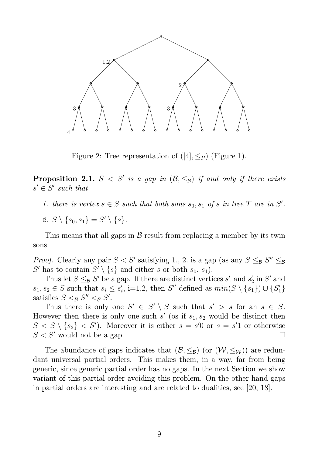

Figure 2: Tree representation of  $([4], \leq_P)$  (Figure 1).

**Proposition 2.1.**  $S < S'$  is a gap in  $(\mathcal{B}, \leq_{\mathcal{B}})$  if and only if there exists  $s' \in S'$  such that

- 1. there is vertex  $s \in S$  such that both sons  $s_0, s_1$  of s in tree T are in S'.
- 2.  $S \setminus \{s_0, s_1\} = S' \setminus \{s\}.$

This means that all gaps in  $\beta$  result from replacing a member by its twin sons.

*Proof.* Clearly any pair  $S < S'$  satisfying 1., 2. is a gap (as any  $S \leq_{\mathcal{B}} S'' \leq_{\mathcal{B}}$ S' has to contain  $S' \setminus \{s\}$  and either s or both  $s_0, s_1$ ).

Thus let  $S \leq_{\mathcal{B}} S'$  be a gap. If there are distinct vertices  $s'_1$  $'_{1}$  and  $s'_{2}$  $'_{2}$  in  $S'$  and  $s_1, s_2 \in S$  such that  $s_i \leq s'_i$  $i'$ , i=1,2, then S'' defined as  $min(S \setminus \{s_1\}) \cup \{S'_1\}$ satisfies  $S <_{\mathcal{B}} S'' <_{\mathcal{B}} S'$ .

Thus there is only one  $S' \in S' \setminus S$  such that  $s' > s$  for an  $s \in S$ . However then there is only one such  $s'$  (os if  $s_1, s_2$  would be distinct then  $S < S \setminus \{s_2\} < S'$ ). Moreover it is either  $s = s'0$  or  $s = s'1$  or otherwise  $S \lt S'$  would not be a gap.

The abundance of gaps indicates that  $(\mathcal{B}, \leq_{\mathcal{B}})$  (or  $(\mathcal{W}, \leq_{\mathcal{W}})$ ) are redundant universal partial orders. This makes them, in a way, far from being generic, since generic partial order has no gaps. In the next Section we show variant of this partial order avoiding this problem. On the other hand gaps in partial orders are interesting and are related to dualities, see [20, 18].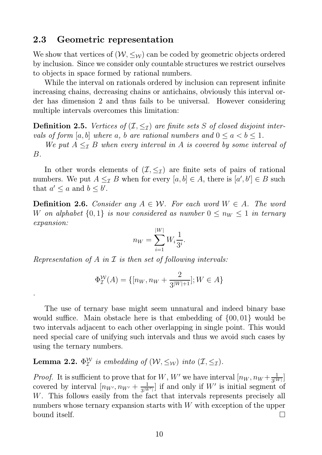#### 2.3 Geometric representation

We show that vertices of  $(W, \leq_W)$  can be coded by geometric objects ordered by inclusion. Since we consider only countable structures we restrict ourselves to objects in space formed by rational numbers.

While the interval on rationals ordered by inclusion can represent infinite increasing chains, decreasing chains or antichains, obviously this interval order has dimension 2 and thus fails to be universal. However considering multiple intervals overcomes this limitation:

**Definition 2.5.** *Vertices of*  $(\mathcal{I}, \leq_{\mathcal{I}})$  *are finite sets* S *of closed disjoint intervals of form* [a, b] *where* a, b are rational numbers and  $0 \le a < b \le 1$ .

*We put*  $A \leq_{\mathcal{I}} B$  *when every interval in* A *is covered by some interval of* B*.*

In other words elements of  $(\mathcal{I}, \leq_{\mathcal{I}})$  are finite sets of pairs of rational numbers. We put  $A \leq_{\mathcal{I}} B$  when for every  $[a, b] \in A$ , there is  $[a', b'] \in B$  such that  $a' \leq a$  and  $b \leq b'$ .

**Definition 2.6.** *Consider any*  $A \in \mathcal{W}$ *. For each word*  $W \in A$ *. The word* W on alphabet  $\{0,1\}$  is now considered as number  $0 \leq n_W \leq 1$  in ternary *expansion:*

$$
n_W = \sum_{i=1}^{|W|} W_i \frac{1}{3^i}.
$$

*Representation of* A *in* I *is then set of following intervals:*

*.*

$$
\Phi_{\mathcal{I}}^{\mathcal{W}}(A) = \{ [n_W, n_W + \frac{2}{3^{|W|+1}}]; W \in A \}
$$

The use of ternary base might seem unnatural and indeed binary base would suffice. Main obstacle here is that embedding of {00, 01} would be two intervals adjacent to each other overlapping in single point. This would need special care of unifying such intervals and thus we avoid such cases by using the ternary numbers.

Lemma 2.2.  $\Phi^{\mathcal{W}}_{\mathcal{I}}$  $_{\mathcal{I}}^{\mathcal{W}}$  is embedding of  $(\mathcal{W}, \leq_{\mathcal{W}})$  into  $(\mathcal{I}, \leq_{\mathcal{I}})$ .

*Proof.* It is sufficient to prove that for W, W' we have interval  $[n_W, n_W + \frac{1}{3^W}]$  $\frac{1}{3^{|W|}}$ covered by interval  $[n_{W'}, n_{W'} + \frac{1}{3|W|}]$  $\frac{1}{3^{|W'|}}$  if and only if W' is initial segment of W. This follows easily from the fact that intervals represents precisely all numbers whose ternary expansion starts with  $W$  with exception of the upper bound itself.  $\Box$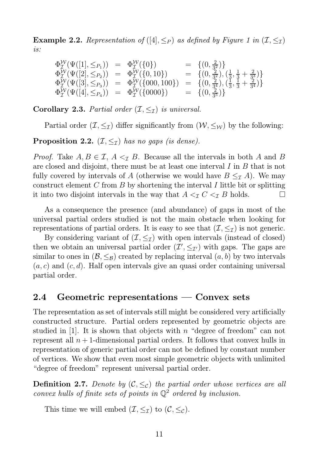**Example 2.2.** Representation of  $([4], \leq_P)$  as defined by Figure 1 in  $(\mathcal{I}, \leq_{\mathcal{I}})$ *is:*

$$
\begin{array}{rcl}\n\Phi_{\mathcal{I}}^{\mathcal{W}}(\Psi([1], \leq_{P_1})) & = & \Phi_{\mathcal{I}}^{\mathcal{W}}(\{0\}) & = & \{(0, \frac{2}{3^2})\} \\
\Phi_{\mathcal{I}}^{\mathcal{W}}(\Psi([2], \leq_{P_2})) & = & \Phi_{\mathcal{I}}^{\mathcal{W}}(\{0, 10\}) & = & \{(0, \frac{2}{3^2}), (\frac{1}{3}, \frac{1}{3} + \frac{2}{3^3})\} \\
\Phi_{\mathcal{I}}^{\mathcal{W}}(\Psi([3], \leq_{P_3})) & = & \Phi_{\mathcal{I}}^{\mathcal{W}}(\{000, 100\}) & = & \{(0, \frac{2}{3^4}), (\frac{1}{3}, \frac{1}{3} + \frac{2}{3^4})\} \\
\Phi_{\mathcal{I}}^{\mathcal{W}}(\Psi([4], \leq_{P_4})) & = & \Phi_{\mathcal{I}}^{\mathcal{W}}(\{0000\}) & = & \{(0, \frac{2}{3^5})\}\n\end{array}
$$

**Corollary 2.3.** *Partial order*  $(\mathcal{I}, \leq_{\mathcal{I}})$  *is universal.* 

Partial order  $(\mathcal{I}, \leq_{\mathcal{I}})$  differ significantly from  $(\mathcal{W}, \leq_{\mathcal{W}})$  by the following:

**Proposition 2.2.**  $(\mathcal{I}, \leq_{\mathcal{I}})$  *has no gaps (is dense).* 

*Proof.* Take  $A, B \in \mathcal{I}, A \leq_{\mathcal{I}} B$ . Because all the intervals in both A and B are closed and disjoint, there must be at least one interval I in B that is not fully covered by intervals of A (otherwise we would have  $B \leq_{\mathcal{I}} A$ ). We may construct element  $C$  from  $B$  by shortening the interval  $I$  little bit or splitting it into two disjoint intervals in the way that  $A <_{\mathcal{I}} C <_{\mathcal{I}} B$  holds.

As a consequence the presence (and abundance) of gaps in most of the universal partial orders studied is not the main obstacle when looking for representations of partial orders. It is easy to see that  $(\mathcal{I}, \leq_{\mathcal{I}})$  is not generic.

By considering variant of  $(\mathcal{I}, \leq_{\mathcal{I}})$  with open intervals (instead of closed) then we obtain an universal partial order  $(\mathcal{I}', \leq_{\mathcal{I}'})$  with gaps. The gaps are similar to ones in  $(\mathcal{B}, \leq_{\mathcal{B}})$  created by replacing interval  $(a, b)$  by two intervals  $(a, c)$  and  $(c, d)$ . Half open intervals give an quasi order containing universal partial order.

### 2.4 Geometric representations — Convex sets

The representation as set of intervals still might be considered very artificially constructed structure. Partial orders represented by geometric objects are studied in  $[1]$ . It is shown that objects with n "degree of freedom" can not represent all  $n + 1$ -dimensional partial orders. It follows that convex hulls in representation of generic partial order can not be defined by constant number of vertices. We show that even most simple geometric objects with unlimited "degree of freedom" represent universal partial order.

**Definition 2.7.** Denote by  $(C, \leq_C)$  the partial order whose vertices are all *convex hulls of finite sets of points in*  $\mathbb{Q}^2$  *ordered by inclusion.* 

This time we will embed  $(\mathcal{I}, \leq_{\mathcal{I}})$  to  $(\mathcal{C}, \leq_{\mathcal{C}})$ .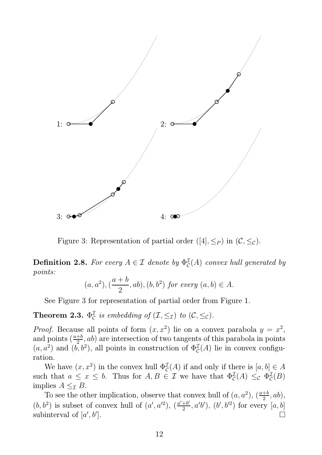

Figure 3: Representation of partial order ([4],  $\leq_P$ ) in  $(C, \leq_C)$ .

**Definition 2.8.** For every  $A \in \mathcal{I}$  denote by  $\Phi_{\mathcal{C}}^{\mathcal{I}}$  $\mathcal{L}_\mathcal{C}^{\mathcal{I}}(A)$  *convex hull generated by points:*

$$
(a, a^2), (\frac{a+b}{2}, ab), (b, b^2)
$$
 for every  $(a, b) \in A$ .

See Figure 3 for representation of partial order from Figure 1.

Theorem 2.3.  $\Phi^{\mathcal{I}}_{\mathcal{C}}$  $\mathcal{L}_{\mathcal{C}}^{\mathcal{I}}$  is embedding of  $(\mathcal{I}, \leq_{\mathcal{I}})$  to  $(\mathcal{C}, \leq_{\mathcal{C}})$ .

*Proof.* Because all points of form  $(x, x^2)$  lie on a convex parabola  $y = x^2$ , and points  $\left(\frac{a+b}{2}\right)$  $\frac{1}{2}$ , ab) are intersection of two tangents of this parabola in points  $(a, a^2)$  and  $(b, b^2)$ , all points in construction of  $\Phi_{\mathcal{C}}^{\mathcal{I}}$  $_{\mathcal{C}}^{\mathcal{I}}(A)$  lie in convex configuration.

We have  $(x, x^2)$  in the convex hull  $\Phi_{\mathcal{C}}^{\mathcal{I}}$  $\mathcal{L}^{\mathcal{I}}(\mathcal{A})$  if and only if there is  $[a, b] \in \mathcal{A}$ such that  $a \leq x \leq b$ . Thus for  $A, B \in \mathcal{I}$  we have that  $\Phi_{\mathcal{C}}^{\mathcal{I}}$  $\mathcal{L}^{\mathcal{I}}(A) \leq_{\mathcal{C}} \Phi_{\mathcal{C}}^{\mathcal{I}}$  $_{\mathcal{C}}^{2}(B)$ implies  $A \leq_{\mathcal{I}} B$ .

To see the other implication, observe that convex hull of  $(a, a^2)$ ,  $\left(\frac{a+b}{2}\right)$  $\frac{+b}{2}, ab),$  $(b, b^2)$  is subset of convex hull of  $(a', a'^2)$ ,  $\left(\frac{a'+b'}{2}\right)$  $(\frac{1}{2}b^{\prime}, a^{\prime}b^{\prime}), (b^{\prime}, b^{\prime 2})$  for every  $[a, b]$ subinterval of  $[a', b']$ ].  $\Box$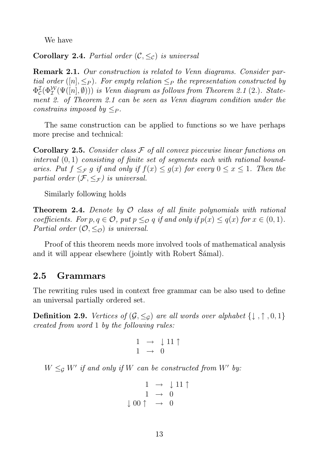We have

**Corollary 2.4.** *Partial order*  $(C, \leq_C)$  *is universal* 

Remark 2.1. *Our construction is related to Venn diagrams. Consider partial order* ([n],  $\leq_P$ ). For empty relation  $\leq_P$  the representation constructed by  $\Phi^{\cal I}_{\cal C}$  $\mathcal{L}_\mathcal{C}(\Phi^{\mathcal{W}}_{\mathcal{I}}(\Psi([n],\emptyset)))$  is Venn diagram as follows from Theorem 2.1 (2.). State*ment 2. of Theorem 2.1 can be seen as Venn diagram condition under the constrains imposed by*  $\lt_P$ .

The same construction can be applied to functions so we have perhaps more precise and technical:

Corollary 2.5. *Consider class* F *of all convex piecewise linear functions on interval* (0, 1) *consisting of finite set of segments each with rational boundaries.* Put  $f \leq_{\mathcal{F}} g$  *if and only if*  $f(x) \leq g(x)$  *for every*  $0 \leq x \leq 1$ *. Then the partial order*  $(\mathcal{F}, \leq_{\mathcal{F}})$  *is universal.* 

Similarly following holds

Theorem 2.4. *Denote by* O *class of all finite polynomials with rational coefficients.* For  $p, q \in \mathcal{O}$ , put  $p \leq_{\mathcal{O}} q$  if and only if  $p(x) \leq q(x)$  for  $x \in (0, 1)$ . *Partial order*  $(0, \leq_{\mathcal{O}})$  *is universal.* 

Proof of this theorem needs more involved tools of mathematical analysis and it will appear elsewhere (jointly with Robert Šámal).

### 2.5 Grammars

The rewriting rules used in context free grammar can be also used to define an universal partially ordered set.

**Definition 2.9.** *Vertices of*  $(G, \leq_G)$  *are all words over alphabet*  $\{\downarrow, \uparrow, 0, 1\}$ *created from word* 1 *by the following rules:*

$$
\begin{array}{ccc}\n1 & \rightarrow & \downarrow 11 \uparrow \\
1 & \rightarrow & 0\n\end{array}
$$

 $W \leq_{\mathcal{G}} W'$  if and only if W can be constructed from W' by:

$$
\begin{array}{rcl} 1 & \rightarrow & \downarrow 11 \uparrow \\ 1 & \rightarrow & 0 \\ \downarrow 00 \uparrow & \rightarrow & 0 \end{array}
$$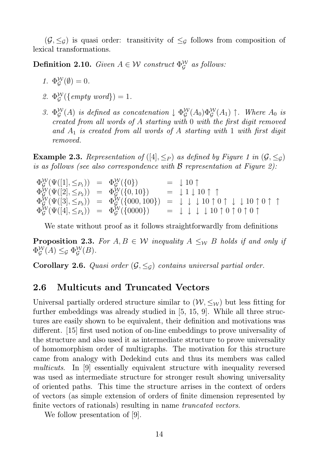$(\mathcal{G}, \leq_{\mathcal{G}})$  is quasi order: transitivity of  $\leq_{\mathcal{G}}$  follows from composition of lexical transformations.

**Definition 2.10.** *Given*  $A \in \mathcal{W}$  *construct*  $\Phi_G^{\mathcal{W}}$ G *as follows:*

- 1.  $\Phi_G^{\mathcal{W}}$  $_{\mathcal{G}}^{\mathcal{W}}(\emptyset) = 0.$
- *2.* Φ W  $\mathcal{G}^{\mathcal{W}}(\{\mathit{empty word}\}) = 1.$
- 3.  $\Phi_G^{\mathcal{W}}$  $_{\mathcal{G}}^{\mathcal{W}}(A)$  *is defined as concatenation*  $\downarrow \Phi_{\mathcal{G}}^{\mathcal{W}}$  $\int_{\mathcal{G}}^{W}(A_0)\Phi_{\mathcal{G}}^{W}(A_1)$   $\uparrow$ *. Where*  $A_0$  *is created from all words of* A *starting with* 0 *with the first digit removed and* A<sup>1</sup> *is created from all words of* A *starting with* 1 *with first digit removed.*

**Example 2.3.** Representation of  $([4], \leq_P)$  as defined by Figure 1 in  $(\mathcal{G}, \leq_{\mathcal{G}})$ *is as follows (see also correspondence with* B *representation at Figure 2):*

 $\Phi^{\cal W}_{{\cal G}}$  $\begin{array}{rcl} \nabla \mathcal{L} \left( \Psi([1], \leq_{P_1}) \right) & = & \Phi_{\mathcal{G}}^{\mathcal{W}}(\{0\}) & = & \downarrow 10 \uparrow. \end{array}$  $\Phi^{\cal W}_{{\cal G}}$  $\mathcal{Q}(\Psi([2], \leq_{P_2})) = \Phi^{\mathcal{W}}_{\mathcal{G}}(\{0, 10\}) = \downarrow 1 \downarrow 10 \uparrow \uparrow$  $\Phi^{\cal W}_{{\cal G}}$  $\mathcal{L}_{\mathcal{G}}^{\mathcal{W}}(\Psi([3], \leq_{P_3})) = \Phi_{\mathcal{G}}^{\mathcal{W}}(\{000, 100\}) = \downarrow \downarrow \downarrow 10 \uparrow 0 \uparrow \downarrow \downarrow 10 \uparrow 0 \uparrow \uparrow \uparrow$  $\Phi_{\mathcal{G}}^{\mathcal{W}}$  $\begin{array}{rcl} \gamma \mathcal{G}(\Psi([4], \leq_{P_4})) & = & \Phi \mathcal{G}(\{0000\}) & = & \downarrow \; \downarrow \; \downarrow \; 10 \uparrow 0 \uparrow 0 \uparrow 0 \uparrow 0 \uparrow \end{array}$ 

We state without proof as it follows straightforwardly from definitions

**Proposition 2.3.** For  $A, B \in \mathcal{W}$  inequality  $A \leq_W B$  holds if and only if  $\Phi^{\cal W}_{{\cal G}}$  $\mathop{\mathcal{G}}\limits^{\mathcal{W}}(A) \leq_{\mathcal{G}} \Phi_{\mathcal{G}}^{\mathcal{W}}$  $_{\mathcal{G}}^{\mathcal{W}}(B).$ 

**Corollary 2.6.** *Quasi order*  $(G, \leq_G)$  *contains universal partial order.* 

### 2.6 Multicuts and Truncated Vectors

Universal partially ordered structure similar to  $(\mathcal{W}, \leq_{\mathcal{W}})$  but less fitting for further embeddings was already studied in [5, 15, 9]. While all three structures are easily shown to be equivalent, their definition and motivations was different. [15] first used notion of on-line embeddings to prove universality of the structure and also used it as intermediate structure to prove universality of homomorphism order of multigraphs. The motivation for this structure came from analogy with Dedekind cuts and thus its members was called *multicuts*. In [9] essentially equivalent structure with inequality reversed was used as intermediate structure for stronger result showing universality of oriented paths. This time the structure arrises in the context of orders of vectors (as simple extension of orders of finite dimension represented by finite vectors of rationals) resulting in name *truncated vectors*.

We follow presentation of [9].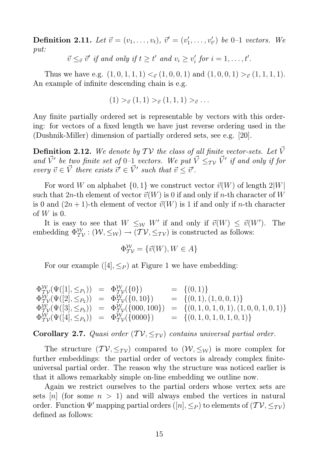**Definition 2.11.** Let  $\vec{v} = (v_1, \ldots, v_t), \ \vec{v}' = (v'_1, \ldots, v'_t)$  $(v_1', \ldots, v_{t'}')$  be 0-1 *vectors.* We *put:*

> $\vec{v} \leq_{\vec{v}} \vec{v}'$  if and only if  $t \geq t'$  and  $v_i \geq v'_i$  $i \text{ for } i = 1, \ldots, t'.$

Thus we have e.g.  $(1, 0, 1, 1, 1) <_{\vec{v}} (1, 0, 0, 1)$  and  $(1, 0, 0, 1) >_{\vec{v}} (1, 1, 1, 1)$ . An example of infinite descending chain is e.g.

$$
(1) >_{\vec{v}} (1,1) >_{\vec{v}} (1,1,1) >_{\vec{v}} \dots
$$

Any finite partially ordered set is representable by vectors with this ordering: for vectors of a fixed length we have just reverse ordering used in the (Dushnik-Miller) dimension of partially ordered sets, see e.g. [20].

**Definition 2.12.** We denote by  $TV$  the class of all finite vector-sets. Let  $\vec{V}$ *and*  $\vec{V}'$  be two finite set of 0–1 *vectors.* We put  $\vec{V} \leq_{\mathcal{TV}} \vec{V}'$  if and only if for *every*  $\vec{v} \in \vec{V}$  *there exists*  $\vec{v}' \in \vec{V}'$  *such that*  $\vec{v} \leq \vec{v}'$ *.* 

For word W on alphabet  $\{0, 1\}$  we construct vector  $\vec{v}(W)$  of length  $2|W|$ such that 2n-th element of vector  $\vec{v}(W)$  is 0 if and only if n-th character of W is 0 and  $(2n+1)$ -th element of vector  $\vec{v}(W)$  is 1 if and only if n-th character of  $W$  is 0.

It is easy to see that  $W \leq_W W'$  if and only if  $\vec{v}(W) \leq \vec{v}(W')$ ). The embedding  $\Phi_{TV}^{\mathcal{W}} : (\mathcal{W}, \leq_{\mathcal{W}}) \to (\mathcal{TV}, \leq_{\mathcal{TV}})$  is constructed as follows:

$$
\Phi^{\mathcal{W}}_{\mathcal{TV}} = \{ \vec{v}(W), W \in A \}
$$

For our example  $([4], \leq_P)$  at Figure 1 we have embedding:

$$
\begin{array}{rcl}\n\Phi_{TV}^{\mathcal{W}}(\Psi([1], \leq_{P_1})) & = & \Phi_{TV}^{\mathcal{W}}(\{0\}) & = & \{(0, 1)\} \\
\Phi_{TV}^{\mathcal{W}}(\Psi([2], \leq_{P_2})) & = & \Phi_{TV}^{\mathcal{W}}(\{0, 10\}) & = & \{(0, 1), (1, 0, 0, 1)\} \\
\Phi_{TV}^{\mathcal{W}}(\Psi([3], \leq_{P_3})) & = & \Phi_{TV}^{\mathcal{W}}(\{000, 100\}) & = & \{(0, 1, 0, 1, 0, 1), (1, 0, 0, 1, 0, 1)\} \\
\Phi_{TV}^{\mathcal{W}}(\Psi([4], \leq_{P_4})) & = & \Phi_{TV}^{\mathcal{W}}(\{0000\}) & = & \{(0, 1, 0, 1, 0, 1, 0, 1)\}\n\end{array}
$$

**Corollary 2.7.** *Quasi order*  $(TV, \leq_T_V)$  *contains universal partial order.* 

The structure  $(\mathcal{TV}, \leq_{\mathcal{TV}})$  compared to  $(\mathcal{W}, \leq_{\mathcal{W}})$  is more complex for further embeddings: the partial order of vectors is already complex finiteuniversal partial order. The reason why the structure was noticed earlier is that it allows remarkably simple on-line embedding we outline now.

Again we restrict ourselves to the partial orders whose vertex sets are sets [n] (for some  $n > 1$ ) and will always embed the vertices in natural order. Function  $\Psi'$  mapping partial orders  $([n], \leq_P)$  to elements of  $(\mathcal{TV}, \leq_{\mathcal{TV}})$ defined as follows: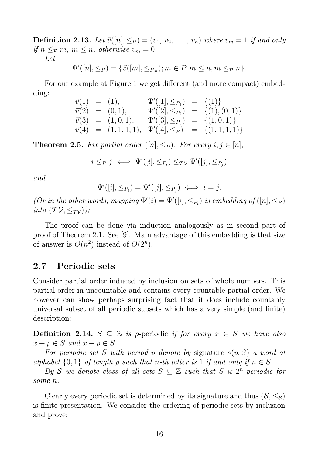**Definition 2.13.** Let  $\vec{v}([n], \leq_P) = (v_1, v_2, \ldots, v_n)$  where  $v_m = 1$  if and only *if*  $n \leq_p m$ ,  $m \leq n$ , *otherwise*  $v_m = 0$ . *Let*

 $\Psi'([n], \leq_P) = \{ \vec{v}([m], \leq_{P_m}); m \in P, m \leq n, m \leq_P n \}.$ 

For our example at Figure 1 we get different (and more compact) embedding:

$$
\begin{array}{rcl}\n\vec{v}(1) & = & (1), \\
\vec{v}(2) & = & (0,1), \\
\vec{v}(3) & = & (1,0,1), \\
\vec{v}(4) & = & (1,1,1,1), \\
\end{array}\n\begin{array}{rcl}\n\Psi'([1], \leq_{P_1}) & = & \{(1)\} \\
\Psi'([2], \leq_{P_2}) & = & \{(1),(0,1)\} \\
\Psi'([3], \leq_{P_3}) & = & \{(1,0,1)\} \\
\Psi'([4], \leq_P) & = & \{(1,1,1,1)\}\n\end{array}
$$

**Theorem 2.5.** Fix partial order  $([n], \leq_P)$ . For every  $i, j \in [n]$ ,

$$
i \leq_P j \iff \Psi'([i], \leq_{P_i}) \leq_{\mathcal{TV}} \Psi'([j], \leq_{P_j})
$$

*and*

$$
\Psi'([i], \leq_{P_i}) = \Psi'([j], \leq_{P_j}) \iff i = j.
$$

*(Or in the other words, mapping*  $\Phi'(i) = \Psi'([i], \leq_{P_i})$  *is embedding of*  $([n], \leq_P)$ *into*  $(TV, \leq_T V)$ *)*;

The proof can be done via induction analogously as in second part of proof of Theorem 2.1. See [9]. Main advantage of this embedding is that size of answer is  $O(n^2)$  instead of  $O(2^n)$ .

### 2.7 Periodic sets

Consider partial order induced by inclusion on sets of whole numbers. This partial order in uncountable and contains every countable partial order. We however can show perhaps surprising fact that it does include countably universal subset of all periodic subsets which has a very simple (and finite) description:

**Definition 2.14.**  $S ⊂ \mathbb{Z}$  is p-periodic *if for every*  $x ∈ S$  *we have also*  $x + p \in S$  and  $x - p \in S$ .

*For periodic set* S *with period* p *denote by* signature s(p, S) *a word at alphabet*  $\{0, 1\}$  *of length* p *such that* n-th *letter is* 1 *if and only if*  $n \in S$ *.* 

*By* S we denote class of all sets  $S \subseteq \mathbb{Z}$  such that S is  $2^n$ -periodic for *some* n*.*

Clearly every periodic set is determined by its signature and thus  $(S, \leq_S)$ is finite presentation. We consider the ordering of periodic sets by inclusion and prove: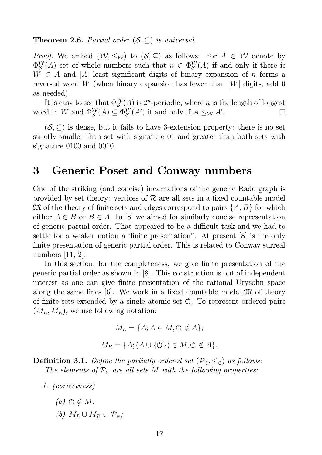#### **Theorem 2.6.** *Partial order*  $(S, \subset)$  *is universal.*

*Proof.* We embed  $(W, \leq_W)$  to  $(S, \subseteq)$  as follows: For  $A \in W$  denote by  $\Phi^{\cal W}_{\cal S}$  $S^{\mathcal{W}}(A)$  set of whole numbers such that  $n \in \Phi_{\mathcal{S}}^{\mathcal{W}}$  $\mathcal{L}^{\mathcal{W}}_{\mathcal{S}}(A)$  if and only if there is  $W \in A$  and |A| least significant digits of binary expansion of n forms a reversed word W (when binary expansion has fewer than  $|W|$  digits, add 0 as needed).

It is easy to see that  $\Phi_S^{\mathcal{W}}$  $\mathcal{L}^{\mathcal{W}}_{\mathcal{S}}(A)$  is 2<sup>n</sup>-periodic, where *n* is the length of longest word in W and  $\Phi_S^{\mathcal{W}}$  $\mathcal{L}^{\mathcal{W}}_{\mathcal{S}}(A) \subseteq \Phi_{\mathcal{S}}^{\mathcal{W}}$  $\int_{\mathcal{S}}^{\mathcal{W}}(A')$  if and only if  $A \leq_{\mathcal{W}} A'$ .

 $(S, \subset)$  is dense, but it fails to have 3-extension property: there is no set strictly smaller than set with signature 01 and greater than both sets with signature 0100 and 0010.

### 3 Generic Poset and Conway numbers

One of the striking (and concise) incarnations of the generic Rado graph is provided by set theory: vertices of  $\mathcal R$  are all sets in a fixed countable model  $\mathfrak{M}$  of the theory of finite sets and edges correspond to pairs  $\{A, B\}$  for which either  $A \in B$  or  $B \in A$ . In [8] we aimed for similarly concise representation of generic partial order. That appeared to be a difficult task and we had to settle for a weaker notion a 'finite presentation". At present [8] is the only finite presentation of generic partial order. This is related to Conway surreal numbers [11, 2].

In this section, for the completeness, we give finite presentation of the generic partial order as shown in [8]. This construction is out of independent interest as one can give finite presentation of the rational Urysohn space along the same lines  $|6|$ . We work in a fixed countable model  $\mathfrak{M}$  of theory of finite sets extended by a single atomic set  $\circ$ . To represent ordered pairs  $(M_L, M_R)$ , we use following notation:

$$
M_L = \{A; A \in M, \circ \notin A\};
$$
  

$$
M_R = \{A; (A \cup \{\circ\}) \in M, \circ \notin A\}
$$

**Definition 3.1.** *Define the partially ordered set*  $(\mathcal{P}_{\infty}, \leq_{\in})$  *as follows: The elements of*  $P_{\epsilon}$  *are all sets* M *with the following properties:* 

- *1. (correctness)*
	- $(a)$   $\varphi \notin M$ ;
	- *(b)*  $M_L$  ∪  $M_R$  ⊂  $P_\in$ *;*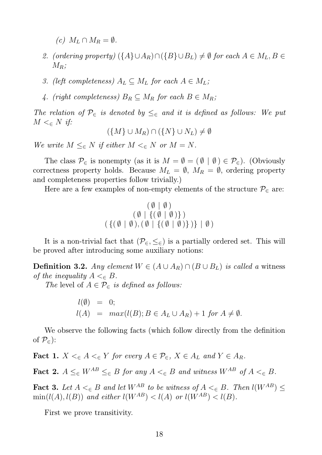*(c)*  $M_L \cap M_R = ∅$ *.* 

- *2. (ordering property)*  $({A} \cup A_R) \cap ({B} \cup B_L) \neq \emptyset$  *for each*  $A \in M_L, B \in$  $M_R$ ;
- *3. (left completeness)*  $A_L \subseteq M_L$  *for each*  $A \in M_L$ ;
- 4. (right completeness)  $B_R \subseteq M_R$  for each  $B \in M_R$ ;

*The relation of*  $\mathcal{P}_{\in}$  *is denoted by*  $\leq_{\in}$  *and it is defined as follows: We put*  $M<_{\in}N$   ${\it if:}$ 

$$
(\{M\} \cup M_R) \cap (\{N\} \cup N_L) \neq \emptyset
$$

*We write*  $M \leq_{\infty} N$  *if either*  $M \leq_{\infty} N$  *or*  $M = N$ *.* 

The class  $\mathcal{P}_{\in}$  is nonempty (as it is  $M = \emptyset = (\emptyset | \emptyset) \in \mathcal{P}_{\in}$ ). (Obviously correctness property holds. Because  $M_L = \emptyset$ ,  $M_R = \emptyset$ , ordering property and completeness properties follow trivially.)

Here are a few examples of non-empty elements of the structure  $\mathcal{P}_{\in}$  are:

$$
\begin{array}{c}\n(\emptyset \mid \emptyset) \\
(\emptyset \mid \{(\emptyset \mid \emptyset)\}) \\
(\{(\emptyset \mid \emptyset), (\emptyset \mid \{(\emptyset \mid \emptyset)\})\}) \mid \emptyset)\n\end{array}
$$

It is a non-trivial fact that  $(\mathcal{P}_{\in}, \leq_{\in})$  is a partially ordered set. This will be proved after introducing some auxiliary notions:

**Definition 3.2.** *Any element*  $W$  ∈  $(A ∪ A<sub>R</sub>) ∩ (B ∪ B<sub>L</sub>)$  *is called a* witness *of the inequality*  $A \leq_{\epsilon} B$ .

*The* level of  $A \in \mathcal{P}_{\in}$  *is defined as follows:* 

$$
l(\emptyset) = 0;
$$
  

$$
l(A) = max(l(B); B \in A_L \cup A_R) + 1 \text{ for } A \neq \emptyset.
$$

We observe the following facts (which follow directly from the definition of  $\mathcal{P}_{\in}$ :

**Fact 1.**  $X \leq_{\epsilon} A \leq_{\epsilon} Y$  for every  $A \in \mathcal{P}_{\epsilon}, X \in A_L$  and  $Y \in A_R$ .

Fact 2.  $A \leq_{\in} W^{AB} \leq_{\in} B$  *for any*  $A \leq_{\in} B$  *and witness*  $W^{AB}$  *of*  $A \leq_{\in} B$ *.* 

**Fact 3.** Let  $A \leq_{\epsilon} B$  and let  $W^{AB}$  to be witness of  $A \leq_{\epsilon} B$ . Then  $l(W^{AB}) \leq$  $\min(l(A), l(B))$  *and either*  $l(W^{AB}) < l(A)$  *or*  $l(W^{AB}) < l(B)$ *.* 

First we prove transitivity.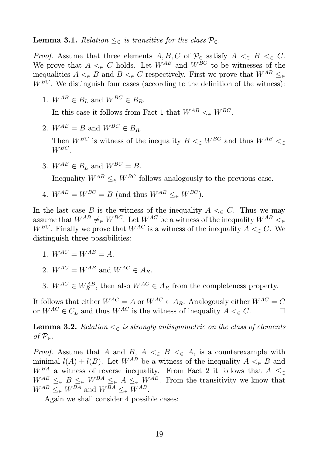**Lemma 3.1.** *Relation* ≤∈ *is transitive for the class*  $\mathcal{P}_\in$ .

*Proof.* Assume that three elements  $A, B, C$  of  $\mathcal{P}_{\in}$  satisfy  $A \leq_{\in} B \leq_{\in} C$ . We prove that  $A \leq_{\epsilon} C$  holds. Let  $W^{AB}$  and  $W^{BC}$  to be witnesses of the inequalities  $A \leq_{\epsilon} B$  and  $B \leq_{\epsilon} C$  respectively. First we prove that  $W^{AB} \leq_{\epsilon} C$  $W^{BC}$ . We distinguish four cases (according to the definition of the witness):

1.  $W^{AB} \in B_L$  and  $W^{BC} \in B_R$ .

In this case it follows from Fact 1 that  $W^{AB} <_{\in} W^{BC}$ .

2.  $W^{AB} = B$  and  $W^{BC} \in B_R$ .

Then  $W^{BC}$  is witness of the inequality  $B \leq_{\epsilon} W^{BC}$  and thus  $W^{AB} \leq_{\epsilon}$  $W^{BC}$ .

3.  $W^{AB} \in B_L$  and  $W^{BC} = B$ .

Inequality  $W^{AB} \leq_{\epsilon} W^{BC}$  follows analogously to the previous case.

4.  $W^{AB} = W^{BC} = B$  (and thus  $W^{AB} \leq_{\epsilon} W^{BC}$ ).

In the last case B is the witness of the inequality  $A \leq_{\epsilon} C$ . Thus we may assume that  $W^{AB} \neq_{\in} W^{BC}$ . Let  $W^{AC}$  be a witness of the inequality  $W^{AB} <_{\in}$ W<sup>BC</sup>. Finally we prove that  $W^{AC}$  is a witness of the inequality  $A \leq_{\epsilon} C$ . We distinguish three possibilities:

- 1.  $W^{AC} = W^{AB} = A$
- 2.  $W^{AC} = W^{AB}$  and  $W^{AC} \in A_B$ .
- 3.  $W^{AC} \in W^{AB}_R$ , then also  $W^{AC} \in A_R$  from the completeness property.

It follows that either  $W^{AC} = A$  or  $W^{AC} \in A_R$ . Analogously either  $W^{AC} = C$ or  $W^{AC} \in C_L$  and thus  $W^{AC}$  is the witness of inequality  $A \leq_{\in} C$ .

**Lemma 3.2.** *Relation*  $\leq_{\epsilon}$  *is strongly antisymmetric on the class of elements*  $of$   $P∈$ *.* 

*Proof.* Assume that A and B,  $A \leq_{\epsilon} B \leq_{\epsilon} A$ , is a counterexample with minimal  $l(A) + l(B)$ . Let  $W^{AB}$  be a witness of the inequality  $A \leq_{\epsilon} B$  and  $W^{BA}$  a witness of reverse inequality. From Fact 2 it follows that  $A \leq_{\in}$  $W^{AB} \leq_{\epsilon} B \leq_{\epsilon} W^{BA} \leq_{\epsilon} A \leq_{\epsilon} W^{AB}$ . From the transitivity we know that  $W^{AB} \leq_{\in} W^{BA}$  and  $W^{BA} \leq_{\in} W^{AB}$ .

Again we shall consider 4 possible cases: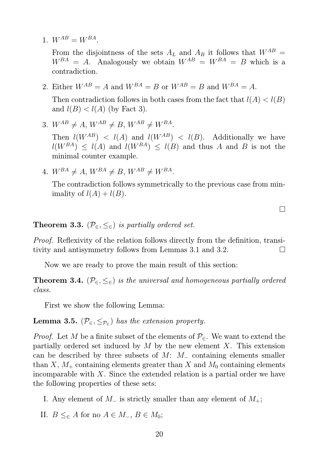1.  $W^{AB} = W^{BA}$ .

From the disjointness of the sets  $A_L$  and  $A_R$  it follows that  $W^{AB} =$  $W^{BA} = A$ . Analogously we obtain  $W^{AB} = W^{BA} = B$  which is a contradiction.

2. Either  $W^{AB} = A$  and  $W^{BA} = B$  or  $W^{AB} = B$  and  $W^{BA} = A$ .

Then contradiction follows in both cases from the fact that  $l(A) < l(B)$ and  $l(B) < l(A)$  (by Fact 3).

3.  $W^{AB} \neq A$ ,  $W^{AB} \neq B$ ,  $W^{AB} \neq W^{BA}$ .

Then  $l(W^{AB}) < l(A)$  and  $l(W^{AB}) < l(B)$ . Additionally we have  $l(W^{BA}) \leq l(A)$  and  $l(W^{BA}) \leq l(B)$  and thus A and B is not the minimal counter example.

4.  $W^{BA} \neq A$ ,  $W^{BA} \neq B$ ,  $W^{AB} \neq W^{BA}$ .

The contradiction follows symmetrically to the previous case from minimality of  $l(A) + l(B)$ .

 $\Box$ 

**Theorem 3.3.** ( $\mathcal{P}_{\in}$ ,  $\leq_{\in}$ ) *is partially ordered set.* 

*Proof.* Reflexivity of the relation follows directly from the definition, transitivity and antisymmetry follows from Lemmas 3.1 and 3.2.

Now we are ready to prove the main result of this section:

**Theorem 3.4.** ( $\mathcal{P}_{\epsilon}, \leq_{\epsilon}$ ) *is the universal and homogeneous partially ordered class.*

First we show the following Lemma:

**Lemma 3.5.**  $(\mathcal{P}_{\in}, \leq_{\mathcal{P}_{\in}})$  *has the extension property.* 

*Proof.* Let M be a finite subset of the elements of  $\mathcal{P}_{\in}$ . We want to extend the partially ordered set induced by  $M$  by the new element  $X$ . This extension can be described by three subsets of  $M: M_-\right.$  containing elements smaller than X,  $M_+$  containing elements greater than X and  $M_0$  containing elements incomparable with  $X$ . Since the extended relation is a partial order we have the following properties of these sets:

- I. Any element of  $M_-\$  is strictly smaller than any element of  $M_+$ ;
- II.  $B \leq_{\in} A$  for no  $A \in M_{-}$ ,  $B \in M_0$ ;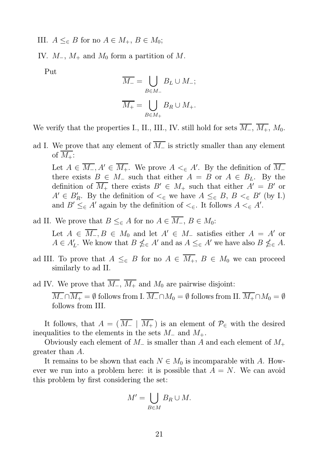III.  $A \leq_{\in} B$  for no  $A \in M_+, B \in M_0$ ;

IV.  $M_-, M_+$  and  $M_0$  form a partition of M.

Put

$$
\overline{M_-} = \bigcup_{B \in M_-} B_L \cup M_-;
$$
  

$$
\overline{M_+} = \bigcup_{B \in M_+} B_R \cup M_+.
$$

We verify that the properties I., II., III., IV. still hold for sets  $\overline{M_+}, \overline{M_+}, M_0$ .

ad I. We prove that any element of  $\overline{M_-}$  is strictly smaller than any element of  $M_{+}$ :

Let  $A \in \overline{M_-, A'} \in \overline{M_+}$ . We prove  $A \leq_{\in} A'$ . By the definition of  $\overline{M_-}$ there exists  $B \in M_-\,$  such that either  $A = B$  or  $A \in B_L$ . By the definition of  $\overline{M_+}$  there exists  $B' \in M_+$  such that either  $A' = B'$  or  $A' \in B'_R$ . By the definition of  $\lt_{\in}$  we have  $A \leq_{\in} B$ ,  $B \lt_{\in} B'$  (by I.) and  $B' \leq_{\in} A'$  again by the definition of  $\lt_{\in}$ . It follows  $A \lt_{\in} A'$ .

- ad II. We prove that  $B \leq_{\in} A$  for no  $A \in \overline{M_{-}}$ ,  $B \in M_0$ : Let  $A \in \overline{M_-, B \in M_0}$  and let  $A' \in M_-$  satisfies either  $A = A'$  or  $A \in A'_{L}$ . We know that  $B \nleq_{\in} A'$  and as  $A \leq_{\in} A'$  we have also  $B \nleq_{\in} A$ .
- ad III. To prove that  $A \leq_{\in} B$  for no  $A \in \overline{M_+}$ ,  $B \in M_0$  we can proceed similarly to ad II.

ad IV. We prove that  $\overline{M_{-}}$ ,  $\overline{M_{+}}$  and  $M_0$  are pairwise disjoint:  $\overline{M_{-}} \cap \overline{M_{+}} = \emptyset$  follows from I.  $\overline{M_{-}} \cap M_{0} = \emptyset$  follows from II.  $\overline{M_{+}} \cap M_{0} = \emptyset$ follows from III.

It follows, that  $A = (\overline{M_-} | \overline{M_+})$  is an element of  $\mathcal{P}_{\in}$  with the desired inequalities to the elements in the sets  $M_-\,$  and  $M_+$ .

Obviously each element of  $M_-\$  is smaller than A and each element of  $M_+$ greater than A.

It remains to be shown that each  $N \in M_0$  is incomparable with A. However we run into a problem here: it is possible that  $A = N$ . We can avoid this problem by first considering the set:

$$
M' = \bigcup_{B \in M} B_R \cup M.
$$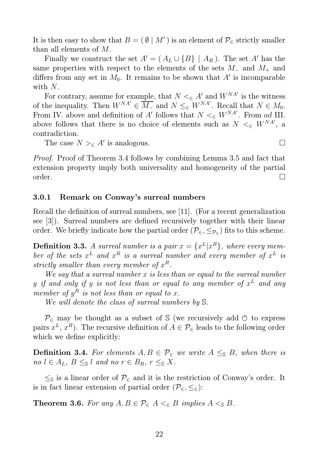It is then easy to show that  $B = (\emptyset | M')$  is an element of  $\mathcal{P}_{\in}$  strictly smaller than all elements of M.

Finally we construct the set  $A' = (A_L \cup \{B\} \mid A_R)$ . The set A' has the same properties with respect to the elements of the sets  $M_-\,$  and  $M_+\,$  and differs from any set in  $M_0$ . It remains to be shown that  $A'$  is incomparable with N.

For contrary, assume for example, that  $N <_{\epsilon} A'$  and  $W^{NA'}$  is the witness of the inequality. Then  $W^{NA'} \in \overline{M_{-}}$  and  $N \leq_{\in} W^{NA'}$ . Recall that  $N \in M_0$ . From IV. above and definition of A' follows that  $N \leq_{\epsilon} W^{NA'}$ . From ad III. above follows that there is no choice of elements such as  $N \leq_{\in} W^{NA'}$ , a contradiction.

The case  $N >_{\in} A'$  is analogous.

*Proof.* Proof of Theorem 3.4 follows by combining Lemma 3.5 and fact that extension property imply both universality and homogeneity of the partial  $\Box$ order.

#### 3.0.1 Remark on Conway's surreal numbers

Recall the definition of surreal numbers, see [11]. (For a recent generalization see [3]). Surreal numbers are defined recursively together with their linear order. We briefly indicate how the partial order  $(\mathcal{P}_{\in}, \leq_{\mathcal{P}_{\in}})$  fits to this scheme.

**Definition 3.3.** *A surreal number is a pair*  $x = \{x^L | x^R\}$ , where every member of the sets  $x^L$  and  $x^R$  is a surreal number and every member of  $x^L$  is strictly smaller than every member of  $x^R$ .

*We say that a surreal number* x *is less than or equal to the surreal number*  $y$  *if and only if*  $y$  *is not less than or equal to any member of*  $x^L$  *and any member of*  $y^R$  *is not less than or equal to x.* 

*We will denote the class of surreal numbers by* S*.*

 $\mathcal{P}_{\epsilon}$  may be thought as a subset of S (we recursively add  $\circ$  to express pairs  $x^L, x^R$ ). The recursive definition of  $A \in \mathcal{P}_{\in}$  leads to the following order which we define explicitly:

**Definition 3.4.** For elements  $A, B \in \mathcal{P}_{\in}$  we write  $A \leq_{\mathbb{S}} B$ , when there is *no*  $l \in A_L$ ,  $B \leq_{\mathbb{S}} l$  *and no*  $r \in B_R$ ,  $r \leq_{\mathbb{S}} X$ .

 $\leq_{\mathbb{S}}$  is a linear order of  $\mathcal{P}_{\in}$  and it is the restriction of Conway's order. It is in fact linear extension of partial order  $(\mathcal{P}_{\infty}, \leq_{\in})$ :

**Theorem 3.6.** For any  $A, B \in \mathcal{P}_{\in}$   $A \leq_{\in} B$  implies  $A \leq_{\mathbb{S}} B$ .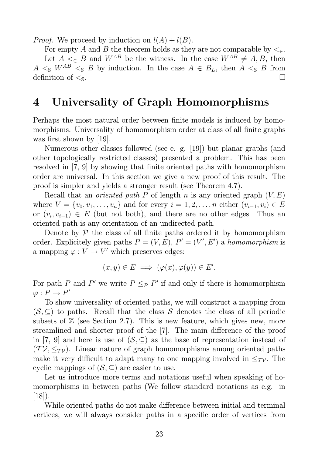*Proof.* We proceed by induction on  $l(A) + l(B)$ .

For empty A and B the theorem holds as they are not comparable by  $\leq_{\epsilon}$ . Let  $A \leq_{\epsilon} B$  and  $W^{AB}$  be the witness. In the case  $W^{AB} \neq A, B$ , then  $A \leq_{\mathbb{S}} W^{AB} \leq_{\mathbb{S}} B$  by induction. In the case  $A \in B_L$ , then  $A \leq_{\mathbb{S}} B$  from definition of  $\lt_s$ .

## 4 Universality of Graph Homomorphisms

Perhaps the most natural order between finite models is induced by homomorphisms. Universality of homomorphism order at class of all finite graphs was first shown by [19].

Numerous other classes followed (see e. g. [19]) but planar graphs (and other topologically restricted classes) presented a problem. This has been resolved in [7, 9] by showing that finite oriented paths with homomorphism order are universal. In this section we give a new proof of this result. The proof is simpler and yields a stronger result (see Theorem 4.7).

Recall that an *oriented path* P of length n is any oriented graph  $(V, E)$ where  $V = \{v_0, v_1, \ldots, v_n\}$  and for every  $i = 1, 2, \ldots, n$  either  $(v_{i-1}, v_i) \in E$ or  $(v_i, v_{i-1}) \in E$  (but not both), and there are no other edges. Thus an oriented path is any orientation of an undirected path.

Denote by  $P$  the class of all finite paths ordered it by homomorphism order. Explicitely given paths  $P = (V, E), P' = (V', E')$  a *homomorphism* is a mapping  $\varphi: V \to V'$  which preserves edges:

$$
(x, y) \in E \implies (\varphi(x), \varphi(y)) \in E'.
$$

For path P and P' we write  $P \leq_{\mathcal{P}} P'$  if and only if there is homomorphism  $\varphi : P \to P'$ 

To show universality of oriented paths, we will construct a mapping from  $(S, \subseteq)$  to paths. Recall that the class S denotes the class of all periodic subsets of  $\mathbb Z$  (see Section 2.7). This is new feature, which gives new, more streamlined and shorter proof of the [7]. The main difference of the proof in [7, 9] and here is use of  $(S, \subseteq)$  as the base of representation instead of  $(TV, \leq_{TV})$ . Linear nature of graph homomorphisms among oriented paths make it very difficult to adapt many to one mapping involved in  $\leq_{\mathcal{TV}}$ . The cyclic mappings of  $(S, \subseteq)$  are easier to use.

Let us introduce more terms and notations useful when speaking of homomorphisms in between paths (We follow standard notations as e.g. in  $[18]$ ).

While oriented paths do not make difference between initial and terminal vertices, we will always consider paths in a specific order of vertices from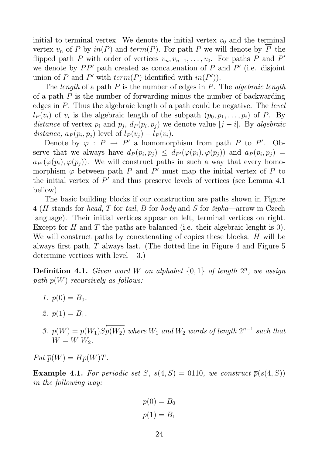initial to terminal vertex. We denote the initial vertex  $v_0$  and the terminal vertex  $v_n$  of P by  $in(P)$  and  $term(P)$ . For path P we will denote by ⊞י<br>— P the flipped path P with order of vertices  $v_n, v_{n-1}, \ldots, v_0$ . For paths P and P' we denote by  $PP'$  path created as concatenation of  $P$  and  $P'$  (i.e. disjoint union of P and P' with  $term(P)$  identified with  $in(P')$ ).

The *length* of a path P is the number of edges in P. The *algebraic length* of a path  $P$  is the number of forwarding minus the number of backwarding edges in P. Thus the algebraic length of a path could be negative. The *level*  $l_P(v_i)$  of  $v_i$  is the algebraic length of the subpath  $(p_0, p_1, \ldots, p_i)$  of P. By *distance* of vertex  $p_i$  and  $p_j$ ,  $d_P(p_i, p_j)$  we denote value  $|j - i|$ . By *algebraic* distance,  $a_P(p_i, p_j)$  level of  $l_P(v_j) - l_P(v_i)$ .

Denote by  $\varphi : P \to P'$  a homomorphism from path P to P'. Observe that we always have  $d_P(p_i, p_j) \leq d_{P'}(\varphi(p_i), \varphi(p_j))$  and  $a_P(p_i, p_j) =$  $a_{P'}(\varphi(p_i), \varphi(p_i))$ . We will construct paths in such a way that every homomorphism  $\varphi$  between path P and P' must map the initial vertex of P to the initial vertex of  $P'$  and thus preserve levels of vertices (see Lemma 4.1) bellow).

The basic building blocks if our construction are paths shown in Figure 4 (H stands for *head*, T for *tail*, B for *body* and S for *šipka*—arrow in Czech language). Their initial vertices appear on left, terminal vertices on right. Except for H and T the paths are balanced (i.e. their algebraic lenght is  $0$ ). We will construct paths by concatenating of copies these blocks. H will be always first path, T always last. (The dotted line in Figure 4 and Figure 5 determine vertices with level  $-3$ .)

**Definition 4.1.** *Given word* W *on alphabet*  $\{0, 1\}$  *of length*  $2^n$ *, we assign path* p(W) *recursively as follows:*

- *1.*  $p(0) = B_0$ .
- 2.  $p(1) = B_1$ .
- 3.  $p(W) = p(W_1)S$  $\leftarrow$   $\leftarrow$   $\leftarrow$  $p(W_2)$  where  $W_1$  and  $W_2$  words of length  $2^{n-1}$  such that  $W = W_1 W_2$ .

 $Put \overline{p}(W) = Hp(W)T.$ 

**Example 4.1.** For periodic set S,  $s(4, S) = 0110$ , we construct  $\overline{p}(s(4, S))$ *in the following way:*

$$
p(0) = B_0
$$

$$
p(1) = B_1
$$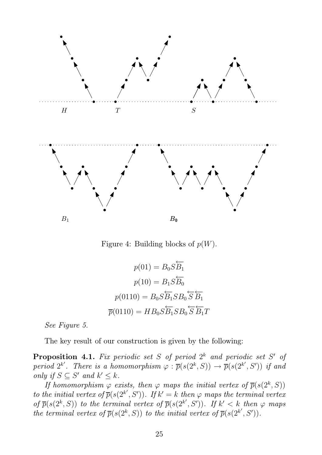

Figure 4: Building blocks of  $p(W)$ .

$$
p(01) = B_0 S \overleftarrow{B_1}
$$

$$
p(10) = B_1 S \overleftarrow{B_0}
$$

$$
p(0110) = B_0 S \overleftarrow{B_1} S B_0 \overleftarrow{S} \overleftarrow{B_1}
$$

$$
\overrightarrow{p}(0110) = H B_0 S \overleftarrow{B_1} S B_0 \overleftarrow{S} \overleftarrow{B_1} T
$$

*See Figure 5.*

The key result of our construction is given by the following:

Proposition 4.1. *Fix periodic set* S *of period* 2 <sup>k</sup> *and periodic set* S ′ *of period*  $2^{k'}$ . There is a homomorphism  $\varphi : \overline{p}(s(2^k, S)) \to \overline{p}(s(2^{k'}, S'))$  if and *only if*  $S \subseteq S'$  *and*  $k' \leq k$ *.* 

*If homomorphism*  $\varphi$  *exists, then*  $\varphi$  *maps the initial vertex of*  $\overline{p}(s(2^k, S))$ *to the initial vertex of*  $\overline{p}(s(2^{k'}, S'))$ *. If*  $k' = k$  *then*  $\varphi$  *maps the terminal vertex* of  $\overline{p}(s(2^k, S))$  *to the terminal vertex of*  $\overline{p}(s(2^{k'}, S'))$ *. If*  $k' < k$  *then*  $\varphi$  *maps the terminal vertex of*  $\overline{p}(s(2^k, S))$  *to the initial vertex of*  $\overline{p}(s(2^{k'}, S'))$ *.*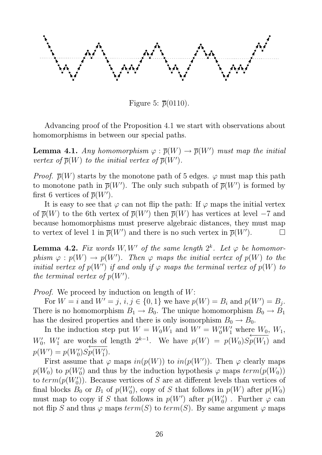

Figure 5:  $\overline{p}(0110)$ .

Advancing proof of the Proposition 4.1 we start with observations about homomorphisms in between our special paths.

**Lemma 4.1.** *Any homomorphism*  $\varphi : \overline{p}(W) \to \overline{p}(W')$  *must map the initial vertex of*  $\overline{p}(W)$  *to the initial vertex of*  $\overline{p}(W')$ *.* 

*Proof.*  $\overline{p}(W)$  starts by the monotone path of 5 edges.  $\varphi$  must map this path to monotone path in  $\overline{p}(W')$ . The only such subpath of  $\overline{p}(W')$  is formed by first 6 vertices of  $\overline{p}(W')$ .

It is easy to see that  $\varphi$  can not flip the path: If  $\varphi$  maps the initial vertex of  $\overline{p}(W)$  to the 6th vertex of  $\overline{p}(W')$  then  $\overline{p}(W)$  has vertices at level -7 and because homomorphisms must preserve algebraic distances, they must map to vertex of level 1 in  $\overline{p}(W')$  and there is no such vertex in  $\overline{p}(W')$  $\Box$ 

**Lemma 4.2.** Fix words  $W, W'$  of the same length  $2^k$ . Let  $\varphi$  be homomor $phism \varphi: p(W) \to p(W')$ . Then  $\varphi$  maps the initial vertex of  $p(W)$  to the *initial vertex of*  $p(W')$  *if and only if*  $\varphi$  *maps the terminal vertex of*  $p(W)$  *to the terminal vertex of*  $p(W')$ *.* 

*Proof.* We proceed by induction on length of W:

For  $W = i$  and  $W' = j$ ,  $i, j \in \{0, 1\}$  we have  $p(W) = B_i$  and  $p(W') = B_j$ . There is no homomorphism  $B_1 \to B_0$ . The unique homomorphism  $B_0 \to B_1$ has the desired properties and there is only isomorphism  $B_0 \to B_0$ .

In the induction step put  $W = W_0 W_1$  and  $W' = W'_0 W'_1$  where  $W_0, W_1,$  $W'_0$ ,  $W'_1$  are words of length  $2^{k-1}$ . We have  $p(W) = p(W_0)S$  $\leftarrow$   $\frac{1}{\sqrt{117}}$  $p(W_1)$  and  $p(W') = p(W'_0)S$  $\leftarrow$   $\leftarrow$   $\leftarrow$  $p(W_1')$ .

First assume that  $\varphi$  maps  $in(p(W))$  to  $in(p(W'))$ . Then  $\varphi$  clearly maps  $p(W_0)$  to  $p(W'_0)$  and thus by the induction hypothesis  $\varphi$  maps  $term(p(W_0))$ to  $term(p(W_0'))$ . Because vertices of S are at different levels than vertices of final blocks  $B_0$  or  $B_1$  of  $p(W_0')$ , copy of S that follows in  $p(W)$  after  $p(W_0)$ must map to copy if S that follows in  $p(W')$  after  $p(W'_0)$ . Further  $\varphi$  can not flip S and thus  $\varphi$  maps  $term(S)$  to  $term(S)$ . By same argument  $\varphi$  maps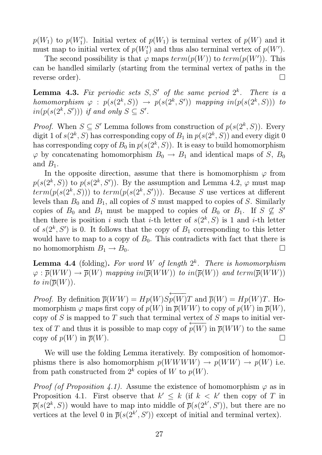$p(W_1)$  to  $p(W'_1)$ . Initial vertex of  $p(W_1)$  is terminal vertex of  $p(W)$  and it must map to initial vertex of  $p(W'_1)$  and thus also terminal vertex of  $p(W')$ .

The second possibility is that  $\varphi$  maps  $term(p(W))$  to  $term(p(W'))$ . This can be handled similarly (starting from the terminal vertex of paths in the reverse order).

**Lemma 4.3.** Fix periodic sets  $S, S'$  of the same period  $2^k$ . There is a *homomorphism*  $\varphi$  :  $p(s(2^k, S)) \rightarrow p(s(2^k, S'))$  *mapping*  $in(p(s(2^k, S)))$  *to*  $in(p(s(2^k, S')))$  *if and only*  $S \subseteq S'$ *.* 

*Proof.* When  $S \subseteq S'$  Lemma follows from construction of  $p(s(2^k, S))$ . Every digit 1 of  $s(2^k, S)$  has corresponding copy of  $B_1$  in  $p(s(2^k, S))$  and every digit 0 has corresponding copy of  $B_0$  in  $p(s(2^k, S))$ . It is easy to build homomorphism  $\varphi$  by concatenating homomorphism  $B_0 \to B_1$  and identical maps of S,  $B_0$ and  $B_1$ .

In the opposite direction, assume that there is homomorphism  $\varphi$  from  $p(s(2^k, S))$  to  $p(s(2^k, S'))$ . By the assumption and Lemma 4.2,  $\varphi$  must map  $term(p(s(2^k, S)))$  to  $term(p(s(2^k, S')))$ . Because S use vertices at different levels than  $B_0$  and  $B_1$ , all copies of S must mapped to copies of S. Similarly copies of  $B_0$  and  $B_1$  must be mapped to copies of  $B_0$  or  $B_1$ . If  $S \not\subseteq S'$ then there is position i such that *i*-th letter of  $s(2^k, S)$  is 1 and *i*-th letter of  $s(2^k, S')$  is 0. It follows that the copy of  $B_1$  corresponding to this letter would have to map to a copy of  $B_0$ . This contradicts with fact that there is no homomorphism  $B_1 \to B_0$ .

Lemma 4.4 (folding). *For word* W *of length* 2 k *. There is homomorphism*  $\varphi : \overline{p}(WW) \to \overline{p}(W)$  *mapping*  $in(\overline{p}(WW))$  *to*  $in(\overline{p}(W))$  *and* term( $\overline{p}(WW)$ ) *to*  $in(\overline{p}(W))$ *.* 

*Proof.* By definition  $\overline{p}(WW) = Hp(W)S$  $\leftarrow$   $\leftarrow$   $\leftarrow$  $p(W)T$  and  $\overline{p}(W) = Hp(W)T$ . Homomorphism  $\varphi$  maps first copy of  $p(W)$  in  $\overline{p}(WW)$  to copy of  $p(W)$  in  $\overline{p}(W)$ , copy of  $S$  is mapped to  $T$  such that terminal vertex of  $S$  maps to initial vertex of T and thus it is possible to map copy of  $+\frac{\sqrt{117}}{117}$  $p(W)$  in  $\overline{p}(WW)$  to the same copy of  $p(W)$  in  $\overline{p}(W)$ .

We will use the folding Lemma iteratively. By composition of homomorphisms there is also homomorphism  $p(WWWW) \rightarrow p(WW) \rightarrow p(W)$  i.e. from path constructed from  $2^k$  copies of W to  $p(W)$ .

*Proof (of Proposition 4.1).* Assume the existence of homomorphism  $\varphi$  as in Proposition 4.1. First observe that  $k' \leq k$  (if  $k < k'$  then copy of T in  $\overline{p}(s(2^k, S))$  would have to map into middle of  $\overline{p}(s(2^{k'}, S'))$ , but there are no vertices at the level 0 in  $\overline{p}(s(2^{k'}, S'))$  except of initial and terminal vertex).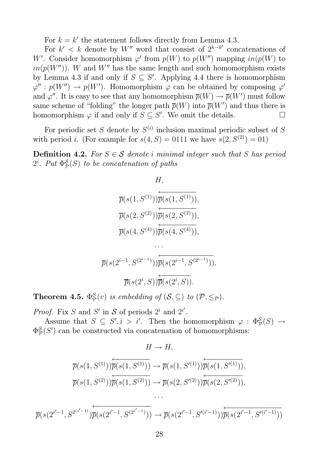For  $k = k'$  the statement follows directly from Lemma 4.3.

For  $k' < k$  denote by W'' word that consist of  $2^{k-k'}$  concatenations of W'. Consider homomorphism  $\varphi'$  from  $p(W)$  to  $p(W'')$  mapping  $in(p(W))$  to  $in(p(W''))$ . W and W'' has the same length and such homomorphism exists by Lemma 4.3 if and only if  $S \subseteq S'$ . Applying 4.4 there is homomorphism  $\varphi'': p(W'') \to p(W')$ . Homomorphism  $\varphi$  can be obtained by composing  $\varphi'$ and  $\varphi''$ . It is easy to see that any homomorphism  $\overline{p}(W) \to \overline{p}(W')$  must follow same scheme of "folding" the longer path  $\overline{p}(W)$  into  $\overline{p}(W')$  and thus there is homomorphism  $\varphi$  if and only if  $S \subseteq S'$ . We omit the details.

For periodic set S denote by  $S^{(i)}$  inclusion maximal periodic subset of S with period *i*. (For example for  $s(4, S) = 0111$  we have  $s(2, S^{(2)}) = 01$ )

**Definition 4.2.** *For*  $S \in \mathcal{S}$  *denote i minimal integer such that* S *has period*  $2^i$ . *Put*  $\Phi^{\mathcal{S}}_{\mathcal{P}}$  $^{\mathcal{S}}_{\mathcal{P}}(S)$  *to be concatenation of paths* 

> $H$ ,  $\overline{p}(s(1,S^{(1)}))$ ←−−−−−−−−  $\overline{p}(s(1,S^{(1)})),$  $\overline{p}(s(2,S^{(2)}))$  $\leftarrow$   $\leftarrow$   $\leftarrow$  $\overline{p}(s(2,S^{(2)})),$  $\overline{p}(s(4,S^{(4)}))$ ←−−−−−−−−  $\overline{p}(s(4,S^{(4)})),$

$$
\overline{p}(s(2^{i-1}, S^{(2^{i-1})}))\overleftarrow{\overline{p}(s(2^{i-1}, S^{(2^{i-1})}))},
$$

$$
\overleftarrow{\overline{p}(s(2^i, S))}\overleftarrow{\overline{p}(s(2^i, S))}.
$$

*. . .*

Theorem 4.5.  $\Phi^{\mathcal{S}}_{\mathcal{P}}$  $^{\mathcal{S}}_{\mathcal{P}}(v)$  *is embedding of*  $(\mathcal{S}, \subseteq)$  *to*  $(\mathcal{P}, \leq_{\mathcal{P}})$ *.* 

*Proof.* Fix S and S' in S of periods  $2^i$  and  $2^{i'}$ .

Assume that  $S \subseteq S', i > i'$ . Then the homomorphism  $\varphi : \Phi_{\mathcal{P}}^{\mathcal{S}}(S) \to$  $\Phi_{\mathcal{P}}^{\mathcal{S}}$  ${}_{\mathcal{P}}^{\mathcal{S}}(S')$  can be constructed via concatenation of homomorphisms:

$$
H \to H,
$$
  
\n
$$
\overline{p}(s(1, S^{(1)}))\overline{p}(s(1, S^{(1)})) \to \overline{p}(s(1, S'^{(1)}))\overline{p}(s(1, S'^{(1)})),
$$
  
\n
$$
\overline{p}(s(1, S^{(2)}))\overline{p}(s(1, S^{(2)})) \to \overline{p}(s(2, S'^{(2)}))\overline{p}(s(2, S'^{(2)})),
$$

$$
\overline{p}(s(2^{i'-1},S^{2^{(i'-1)}})\overleftarrow{\overline{p}(s(2^{i'-1},S^{(2^{i'-1})}))}\rightarrow \overline{p}(s(2^{i'-1},S'^{(i'-1)}))\overleftarrow{\overline{p}(s(2^{i'-1},S'^{(i'-1)}))}
$$

. . .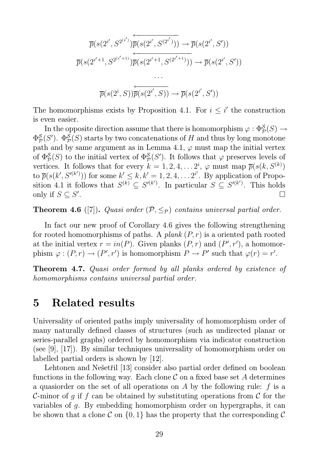$$
\overline{p}(s(2^{i'}, S^{2^{(i')}})\overleftarrow{\overline{p}(s(2^{i'}, S^{(2^{i'}})))} \to \overline{p}(s(2^{i'}, S'))\n\overline{p}(s(2^{i'+1}, S^{2^{(i'+1)}})\overline{p}(s(2^{i'+1}, S^{(2^{i'+1})}))} \to \overline{p}(s(2^{i'}, S'))\n...\n\overline{p}(s(2^{i}, S))\overline{\overline{p}(s(2^{i'}, S))} \to \overline{p}(s(2^{i'}, S'))
$$

The homomorphisms exists by Proposition 4.1. For  $i \leq i'$  the construction is even easier.

In the opposite direction assume that there is homomorphism  $\varphi: \Phi_{\mathcal{P}}^{\mathcal{S}}(S) \to$  $\Phi_{\mathcal{P}}^{\mathcal{S}}$  $^{\mathcal{S}}_{\mathcal{P}}(S').$   $\Phi^{\mathcal{S}}_{\mathcal{P}}$  ${}_{\mathcal{P}}^{\mathcal{S}}(S)$  starts by two concatenations of H and thus by long monotone path and by same argument as in Lemma 4.1,  $\varphi$  must map the initial vertex of  $\Phi^{\mathcal{S}}_{\mathcal{P}}$  ${}_{\mathcal{P}}^{\mathcal{S}}(S)$  to the initial vertex of  $\Phi_{\mathcal{P}}^{\mathcal{S}}$  ${}_{\mathcal{P}}^{\mathcal{S}}(S')$ . It follows that  $\varphi$  preserves levels of vertices. It follows that for every  $k = 1, 2, 4, \ldots 2^{i}, \varphi$  must map  $\overline{p}(s(k, S^{(k)})$ to  $\overline{p}(s(k',S'^{(k')}))$  for some  $k' \leq k, k' = 1, 2, 4, \ldots 2^{i'}$ . By application of Proposition 4.1 it follows that  $S^{(k)} \subseteq S'^{(k')}$ . In particular  $S \subseteq S'^{(k')}$ . This holds only if  $S \subseteq S'$ .

**Theorem 4.6** ([7]). *Quasi order*  $(\mathcal{P}, \leq_{\mathcal{P}})$  *contains universal partial order.* 

In fact our new proof of Corollary 4.6 gives the following strengthening for rooted homomorphisms of paths. A *plank*  $(P, r)$  is a oriented path rooted at the initial vertex  $r = in(P)$ . Given planks  $(P, r)$  and  $(P', r')$ , a homomorphism  $\varphi: (P,r) \to (P',r')$  is homomorphism  $P \to P'$  such that  $\varphi(r) = r'$ .

Theorem 4.7. *Quasi order formed by all planks ordered by existence of homomorphisms contains universal partial order.*

### 5 Related results

Universality of oriented paths imply universality of homomorphism order of many naturally defined classes of structures (such as undirected planar or series-parallel graphs) ordered by homomorphism via indicator construction (see [9], [17]). By similar techniques universality of homomorphism order on labelled partial orders is shown by [12].

Lehtonen and Nešetřil [13] consider also partial order defined on boolean functions in the following way. Each clone  $\mathcal C$  on a fixed base set A determines a quasiorder on the set of all operations on A by the following rule: f is a C-minor of g if f can be obtained by substituting operations from C for the variables of g. By embedding homomorphism order on hypergraphs, it can be shown that a clone C on  $\{0,1\}$  has the property that the corresponding C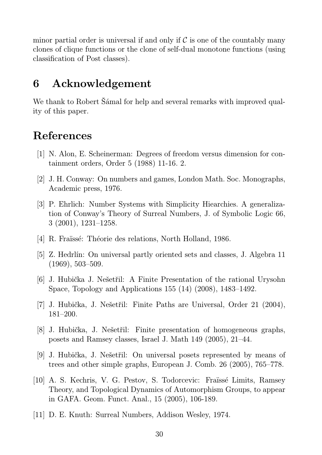minor partial order is universal if and only if  $\mathcal C$  is one of the countably many clones of clique functions or the clone of self-dual monotone functions (using classification of Post classes).

## 6 Acknowledgement

We thank to Robert Šámal for help and several remarks with improved quality of this paper.

## References

- [1] N. Alon, E. Scheinerman: Degrees of freedom versus dimension for containment orders, Order 5 (1988) 11-16. 2.
- [2] J. H. Conway: On numbers and games, London Math. Soc. Monographs, Academic press, 1976.
- [3] P. Ehrlich: Number Systems with Simplicity Hiearchies. A generalization of Conway's Theory of Surreal Numbers, J. of Symbolic Logic 66, 3 (2001), 1231–1258.
- [4] R. Fraïssé: Théorie des relations, North Holland, 1986.
- [5] Z. Hedrlín: On universal partly oriented sets and classes, J. Algebra 11 (1969), 503–509.
- [6] J. Hubička J. Nešetřil: A Finite Presentation of the rational Urysohn Space, Topology and Applications 155 (14) (2008), 1483–1492.
- [7] J. Hubička, J. Nešetřil: Finite Paths are Universal, Order 21 (2004), 181–200.
- [8] J. Hubička, J. Nešetřil: Finite presentation of homogeneous graphs, posets and Ramsey classes, Israel J. Math 149 (2005), 21–44.
- [9] J. Hubička, J. Nešetřil: On universal posets represented by means of trees and other simple graphs, European J. Comb. 26 (2005), 765–778.
- [10] A. S. Kechris, V. G. Pestov, S. Todorcevic: Fra¨ıssé Limits, Ramsey Theory, and Topological Dynamics of Automorphism Groups, to appear in GAFA. Geom. Funct. Anal., 15 (2005), 106-189.
- [11] D. E. Knuth: Surreal Numbers, Addison Wesley, 1974.